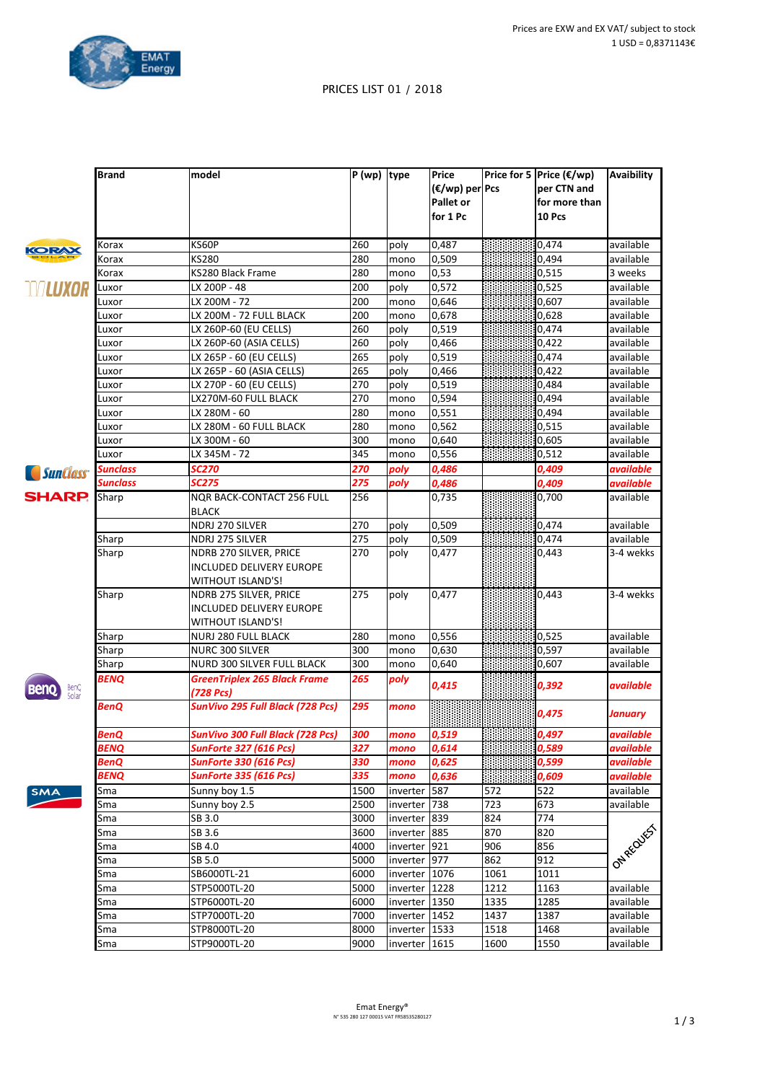

**Avaibility**

## PRICES LIST 01 / 2018

**(€/wp) per Pcs Pallet** or

**Price for 5 Price (€/wp)** 

**per CTN** and **for more than** 

**Brand model P** (wp) **type Price** 

| ÷<br>z |
|--------|
|        |
|        |
|        |

|                        |             |                                     |      |               | for 1 Pc |      | 10 Pcs |                |
|------------------------|-------------|-------------------------------------|------|---------------|----------|------|--------|----------------|
| <b>KORAX</b>           | Korax       | KS60P                               | 260  | poly          | 0,487    |      | 0,474  | available      |
|                        | Korax       | KS280                               | 280  | mono          | 0,509    |      | 0,494  | available      |
|                        | Korax       | KS280 Black Frame                   | 280  | mono          | 0,53     |      | 0,515  | 3 weeks        |
| NALUXOR                | Luxor       | LX 200P - 48                        | 200  | poly          | 0,572    |      | 0,525  | available      |
|                        | Luxor       | LX 200M - 72                        | 200  | mono          | 0,646    |      | 0,607  | available      |
|                        | Luxor       | LX 200M - 72 FULL BLACK             | 200  | mono          | 0,678    |      | 0,628  | available      |
|                        | Luxor       | LX 260P-60 (EU CELLS)               | 260  | poly          | 0,519    |      | 0,474  | available      |
|                        | Luxor       | LX 260P-60 (ASIA CELLS)             | 260  | poly          | 0,466    |      | 0,422  | available      |
|                        | Luxor       | LX 265P - 60 (EU CELLS)             | 265  | poly          | 0,519    |      | 0,474  | available      |
|                        | Luxor       | LX 265P - 60 (ASIA CELLS)           | 265  | poly          | 0,466    |      | 0,422  | available      |
|                        | Luxor       | LX 270P - 60 (EU CELLS)             | 270  | poly          | 0,519    |      | 0,484  | available      |
|                        | Luxor       | LX270M-60 FULL BLACK                | 270  | mono          | 0,594    |      | 0,494  | available      |
|                        | Luxor       | LX 280M - 60                        | 280  | mono          | 0,551    |      | 0,494  | available      |
|                        | Luxor       | LX 280M - 60 FULL BLACK             | 280  | mono          | 0,562    |      | 0,515  | available      |
|                        | Luxor       | LX 300M - 60                        | 300  | mono          | 0,640    |      | 0,605  | available      |
|                        | Luxor       | LX 345M - 72                        | 345  | mono          | 0,556    |      | 0,512  | available      |
|                        | Sunclass    | <b>SC270</b>                        | 270  | poly          | 0,486    |      | 0,409  | available      |
| <i><b>SunClass</b></i> | Sunclass    | <b>SC275</b>                        | 275  | poly          | 0,486    |      | 0,409  | available      |
| <b>SHARP.</b>          | Sharp       | <b>NQR BACK-CONTACT 256 FULL</b>    | 256  |               | 0,735    |      | 0,700  | available      |
|                        |             | <b>BLACK</b>                        |      |               |          |      |        |                |
|                        |             | NDRJ 270 SILVER                     | 270  | poly          | 0,509    |      | 0,474  | available      |
|                        | Sharp       | NDRJ 275 SILVER                     | 275  | poly          | 0,509    |      | 0,474  | available      |
|                        | Sharp       | NDRB 270 SILVER, PRICE              | 270  | poly          | 0,477    |      | 0,443  | 3-4 wekks      |
|                        |             | INCLUDED DELIVERY EUROPE            |      |               |          |      |        |                |
|                        |             | <b>WITHOUT ISLAND'S!</b>            |      |               |          |      |        |                |
|                        | Sharp       | NDRB 275 SILVER, PRICE              | 275  | poly          | 0,477    |      | 0,443  | 3-4 wekks      |
|                        |             | INCLUDED DELIVERY EUROPE            |      |               |          |      |        |                |
|                        |             | <b>WITHOUT ISLAND'S!</b>            |      |               |          |      |        |                |
|                        | Sharp       | NURJ 280 FULL BLACK                 | 280  | mono          | 0,556    |      | 0,525  | available      |
|                        | Sharp       | NURC 300 SILVER                     | 300  | mono          | 0,630    |      | 0,597  | available      |
|                        | Sharp       | NURD 300 SILVER FULL BLACK          | 300  | mono          | 0,640    |      | 0,607  | available      |
|                        | <b>BENQ</b> | <b>GreenTriplex 265 Black Frame</b> | 265  | poly          |          |      |        |                |
| BenQ<br>Solar          |             | $(728)$ Pcs)                        |      |               | 0,415    |      | 0,392  | available      |
|                        | BenQ        | SunVivo 295 Full Black (728 Pcs)    | 295  | mono          |          |      |        |                |
|                        |             |                                     |      |               |          |      | 0,475  | <b>January</b> |
|                        | BenQ        | SunVivo 300 Full Black (728 Pcs)    | 300  | mono          | 0,519    |      | 0,497  | available      |
|                        | <b>BENQ</b> | <b>SunForte 327 (616 Pcs)</b>       | 327  | mono          | 0,614    |      | 0,589  | available      |
|                        | BenQ        | <b>SunForte 330 (616 Pcs)</b>       | 330  | mono          | 0,625    |      | 0,599  | available      |
|                        | <b>BENQ</b> | <b>SunForte 335 (616 Pcs)</b>       | 335  | mono          | 0,636    |      | 0,609  | available      |
| <b>SMA</b>             | Sma         | Sunny boy 1.5                       | 1500 | inverter 587  |          | 572  | 522    | available      |
|                        | Sma         | Sunny boy 2.5                       | 2500 | inverter 738  |          | 723  | 673    | available      |
|                        | Sma         | SB 3.0                              | 3000 | inverter 839  |          | 824  | 774    |                |
|                        | Sma         | SB 3.6                              | 3600 | inverter 885  |          | 870  | 820    |                |
|                        | Sma         | SB 4.0                              | 4000 | inverter 921  |          | 906  | 856    |                |
|                        | Sma         | SB 5.0                              | 5000 | inverter 977  |          | 862  | 912    | I ON REQUEST   |
|                        | Sma         | SB6000TL-21                         | 6000 | inverter 1076 |          | 1061 | 1011   |                |
|                        | Sma         | STP5000TL-20                        | 5000 | inverter 1228 |          | 1212 | 1163   | available      |
|                        | Sma         | STP6000TL-20                        | 6000 | inverter 1350 |          | 1335 | 1285   | available      |
|                        | Sma         | STP7000TL-20                        | 7000 | inverter 1452 |          | 1437 | 1387   | available      |
|                        | Sma         | STP8000TL-20                        | 8000 | inverter 1533 |          | 1518 | 1468   | available      |
|                        | Sma         | STP9000TL-20                        | 9000 | inverter 1615 |          | 1600 | 1550   | available      |
|                        |             |                                     |      |               |          |      |        |                |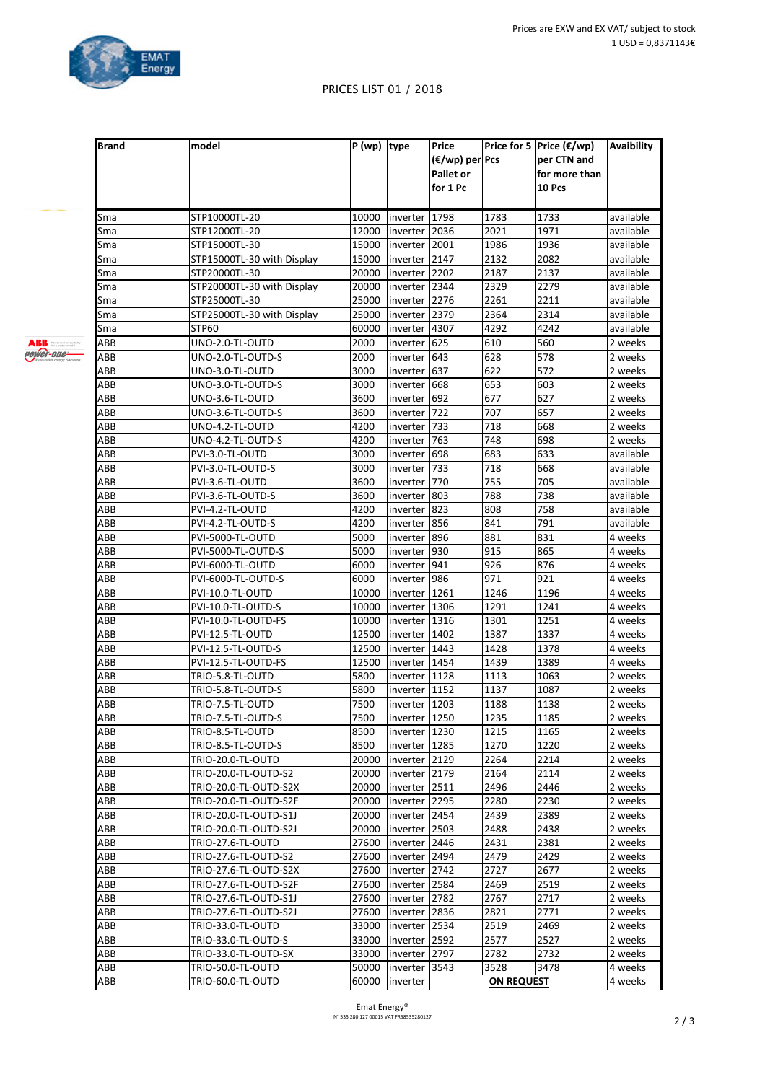



## PRICES LIST 01 / 2018

| <b>Brand</b> | model                      | $\sqrt{P(wp)}$ type |                 | Price<br>(€/wp) per Pcs |            | Price for 5 Price (€/wp)<br>per CTN and | Avaibility |  |
|--------------|----------------------------|---------------------|-----------------|-------------------------|------------|-----------------------------------------|------------|--|
|              |                            |                     |                 | Pallet or               |            | for more than                           |            |  |
|              |                            |                     |                 | for 1 Pc                |            | 10 Pcs                                  |            |  |
|              |                            |                     |                 |                         |            |                                         |            |  |
| Sma          | STP10000TL-20              | 10000               | inverter  1798  |                         | 1783       | 1733                                    | available  |  |
| Sma          | STP12000TL-20              | 12000               | inverter   2036 |                         | 2021       | 1971                                    | available  |  |
| Sma          | STP15000TL-30              | 15000               | inverter   2001 |                         | 1986       | 1936                                    | available  |  |
| Sma          | STP15000TL-30 with Display | 15000               | inverter 2147   |                         | 2132       | 2082                                    | available  |  |
| Sma          | STP20000TL-30              | 20000               | inverter 12202  |                         | 2187       | 2137                                    | available  |  |
| Sma          | STP20000TL-30 with Display | 20000               | inverter 12344  |                         | 2329       | 2279                                    | available  |  |
| Sma          | STP25000TL-30              | 25000               | inverter 2276   |                         | 2261       | 2211                                    | available  |  |
| Sma          | STP25000TL-30 with Display | 25000               | inverter 2379   |                         | 2364       | 2314                                    | available  |  |
| Sma          | STP60                      | 60000               | inverter 4307   |                         | 4292       | 4242                                    | available  |  |
| ABB          | UNO-2.0-TL-OUTD            | 2000                | inverter 625    |                         | 610        | 560                                     | 2 weeks    |  |
| ABB          | UNO-2.0-TL-OUTD-S          | 2000                | inverter 643    |                         | 628        | 578                                     | 2 weeks    |  |
| ABB          | UNO-3.0-TL-OUTD            | 3000                | inverter 637    |                         | 622        | 572                                     | 2 weeks    |  |
| ABB          | UNO-3.0-TL-OUTD-S          | 3000                | inverter 668    |                         | 653        | 603                                     | 2 weeks    |  |
| ABB          | UNO-3.6-TL-OUTD            | 3600                | inverter 692    |                         | 677        | 627                                     | 2 weeks    |  |
| ABB          | UNO-3.6-TL-OUTD-S          | 3600                | inverter 722    |                         | 707        | 657                                     | 2 weeks    |  |
| ABB          | UNO-4.2-TL-OUTD            | 4200                | inverter 733    |                         | 718        | 668                                     | 2 weeks    |  |
| ABB          | UNO-4.2-TL-OUTD-S          | 4200                | inverter 763    |                         | 748        | 698                                     | 2 weeks    |  |
| ABB          | PVI-3.0-TL-OUTD            | 3000                | inverter 698    |                         | 683        | 633                                     | available  |  |
| ABB          | PVI-3.0-TL-OUTD-S          | 3000                | inverter 733    |                         | 718        | 668                                     | available  |  |
| ABB          | PVI-3.6-TL-OUTD            | 3600                | inverter 770    |                         | 755        | 705                                     | available  |  |
| ABB          | PVI-3.6-TL-OUTD-S          | 3600                | inverter 803    |                         | 788        | 738                                     |            |  |
|              |                            |                     |                 |                         |            |                                         | available  |  |
| ABB          | PVI-4.2-TL-OUTD            | 4200                | inverter 823    |                         | 808        | 758                                     | available  |  |
| ABB          | PVI-4.2-TL-OUTD-S          | 4200                | inverter 856    |                         | 841        | 791                                     | available  |  |
| ABB          | PVI-5000-TL-OUTD           | 5000                | inverter 896    |                         | 881        | 831                                     | 4 weeks    |  |
| ABB          | PVI-5000-TL-OUTD-S         | 5000                | inverter 930    |                         | 915        | 865                                     | 4 weeks    |  |
| ABB          | PVI-6000-TL-OUTD           | 6000                | inverter 941    |                         | 926        | 876                                     | 4 weeks    |  |
| ABB          | PVI-6000-TL-OUTD-S         | 6000                | inverter 986    |                         | 971        | 921                                     | 4 weeks    |  |
| ABB          | PVI-10.0-TL-OUTD           | 10000               | inverter 1261   |                         | 1246       | 1196                                    | 4 weeks    |  |
| ABB          | PVI-10.0-TL-OUTD-S         | 10000               | inverter 1306   |                         | 1291       | 1241                                    | 4 weeks    |  |
| ABB          | PVI-10.0-TL-OUTD-FS        | 10000               | inverter 1316   |                         | 1301       | 1251                                    | 4 weeks    |  |
| ABB          | PVI-12.5-TL-OUTD           | 12500               | inverter 1402   |                         | 1387       | 1337                                    | 4 weeks    |  |
| ABB          | PVI-12.5-TL-OUTD-S         | 12500               | inverter  1443  |                         | 1428       | 1378                                    | 4 weeks    |  |
| ABB          | PVI-12.5-TL-OUTD-FS        | 12500               | inverter 1454   |                         | 1439       | 1389                                    | 4 weeks    |  |
| ABB          | TRIO-5.8-TL-OUTD           | 5800                | inverter 1128   |                         | 1113       | 1063                                    | 2 weeks    |  |
| ABB          | TRIO-5.8-TL-OUTD-S         | 5800                | inverter 1152   |                         | 1137       | 1087                                    | 2 weeks    |  |
| ABB          | TRIO-7.5-TL-OUTD           | 7500                | inverter 1203   |                         | 1188       | 1138                                    | 2 weeks    |  |
| ABB          | TRIO-7.5-TL-OUTD-S         | 7500                | inverter  1250  |                         | 1235       | 1185                                    | 2 weeks    |  |
| ABB          | TRIO-8.5-TL-OUTD           | 8500                | inverter 1230   |                         | 1215       | 1165                                    | 2 weeks    |  |
| ABB          | TRIO-8.5-TL-OUTD-S         | 8500                | inverter 1285   |                         | 1270       | 1220                                    | 2 weeks    |  |
| ABB          | TRIO-20.0-TL-OUTD          | 20000               | inverter 2129   |                         | 2264       | 2214                                    | 2 weeks    |  |
| ABB          | TRIO-20.0-TL-OUTD-S2       | 20000               | inverter 2179   |                         | 2164       | 2114                                    | 2 weeks    |  |
| ABB          | TRIO-20.0-TL-OUTD-S2X      | 20000               | inverter   2511 |                         | 2496       | 2446                                    | 2 weeks    |  |
| ABB          | TRIO-20.0-TL-OUTD-S2F      | 20000               | inverter 2295   |                         | 2280       | 2230                                    | 2 weeks    |  |
| ABB          | TRIO-20.0-TL-OUTD-S1J      | 20000               | linverter 12454 |                         | 2439       | 2389                                    | 2 weeks    |  |
| ABB          | TRIO-20.0-TL-OUTD-S2J      | 20000               | inverter 2503   |                         | 2488       | 2438                                    | 2 weeks    |  |
| ABB          | TRIO-27.6-TL-OUTD          | 27600               | inverter 2446   |                         | 2431       | 2381                                    | 2 weeks    |  |
| ABB          | TRIO-27.6-TL-OUTD-S2       | 27600               | linverter 12494 |                         | 2479       | 2429                                    | 2 weeks    |  |
| ABB          | TRIO-27.6-TL-OUTD-S2X      | 27600               | inverter 2742   |                         | 2727       | 2677                                    | 2 weeks    |  |
| ABB          | TRIO-27.6-TL-OUTD-S2F      | 27600               | inverter   2584 |                         | 2469       | 2519                                    | 2 weeks    |  |
| ABB          | TRIO-27.6-TL-OUTD-S1J      | 27600               | inverter 2782   |                         | 2767       | 2717                                    | 2 weeks    |  |
| ABB          | TRIO-27.6-TL-OUTD-S2J      | 27600               | inverter  2836  |                         | 2821       | 2771                                    | 2 weeks    |  |
| ABB          | TRIO-33.0-TL-OUTD          | 33000               | inverter  2534  |                         | 2519       | 2469                                    | 2 weeks    |  |
| ABB          | TRIO-33.0-TL-OUTD-S        | 33000               | Inverter 2592   |                         | 2577       | 2527                                    | 2 weeks    |  |
| ABB          | TRIO-33.0-TL-OUTD-SX       | 33000               | inverter 2797   |                         | 2782       | 2732                                    | 2 weeks    |  |
| ABB          | TRIO-50.0-TL-OUTD          | 50000               | inverter 3543   |                         | 3528       | 3478                                    | 4 weeks    |  |
| ABB          | TRIO-60.0-TL-OUTD          |                     | 60000  inverter |                         | ON REQUEST |                                         | 4 weeks    |  |
|              |                            |                     |                 |                         |            |                                         |            |  |